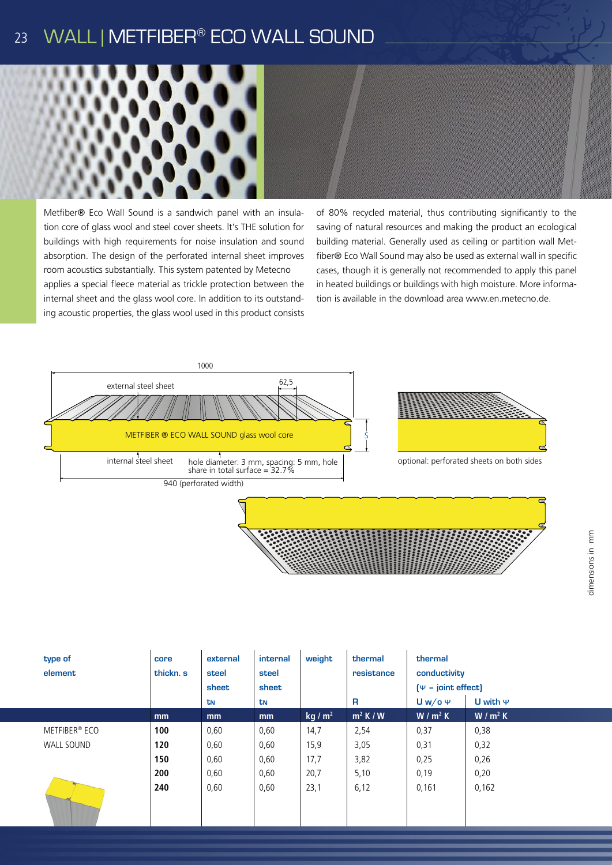#### WALL | METFIBER® ECO WALL SOUND 23



Metfiber® Eco Wall Sound is a sandwich panel with an insulation core of glass wool and steel cover sheets. lt's THE solution for buildings with high requirements for noise insulation and sound absorption. The design of the perforated internal sheet improves room acoustics substantially. This system patented by Metecno applies a special fleece material as trickle protection between the internal sheet and the glass wool core. In addition to its outstanding acoustic properties, the glass wool used in this product consists

of 80% recycled material, thus contributing significantly to the saving of natural resources and making the product an ecological building material. Generally used as ceiling or partition wall Metfiber® Eco Wall Sound may also be used as external wall in specific cases, though it is generally not recommended to apply this panel in heated buildings or buildings with high moisture. More information is available in the download area www.en.metecno.de.



| type of<br>element        | core<br>thickn. s | external<br>steel<br>sheet<br>tN | internal<br>steel<br>sheet<br>tN | weight            | thermal<br>resistance<br>R | thermal<br>conductivity<br>$[\Psi - \text{joint effect}]$<br>$Uw/o \Psi$<br>U with $\Psi$ |           |
|---------------------------|-------------------|----------------------------------|----------------------------------|-------------------|----------------------------|-------------------------------------------------------------------------------------------|-----------|
|                           | mm                | mm                               | mm                               | kg/m <sup>2</sup> | $m^2$ K / W                | $W/m^2 K$                                                                                 | $W/m^2 K$ |
| METFIBER <sup>®</sup> ECO | 100               | 0,60                             | 0,60                             | 14,7              | 2,54                       | 0,37                                                                                      | 0,38      |
| WALL SOUND                | 120               | 0,60                             | 0,60                             | 15,9              | 3,05                       | 0,31                                                                                      | 0,32      |
|                           | 150               | 0,60                             | 0,60                             | 17,7              | 3,82                       | 0,25                                                                                      | 0,26      |
|                           | 200               | 0,60                             | 0,60                             | 20,7              | 5,10                       | 0,19                                                                                      | 0,20      |
|                           | 240               | 0,60                             | 0,60                             | 23,1              | 6,12                       | 0,161                                                                                     | 0,162     |